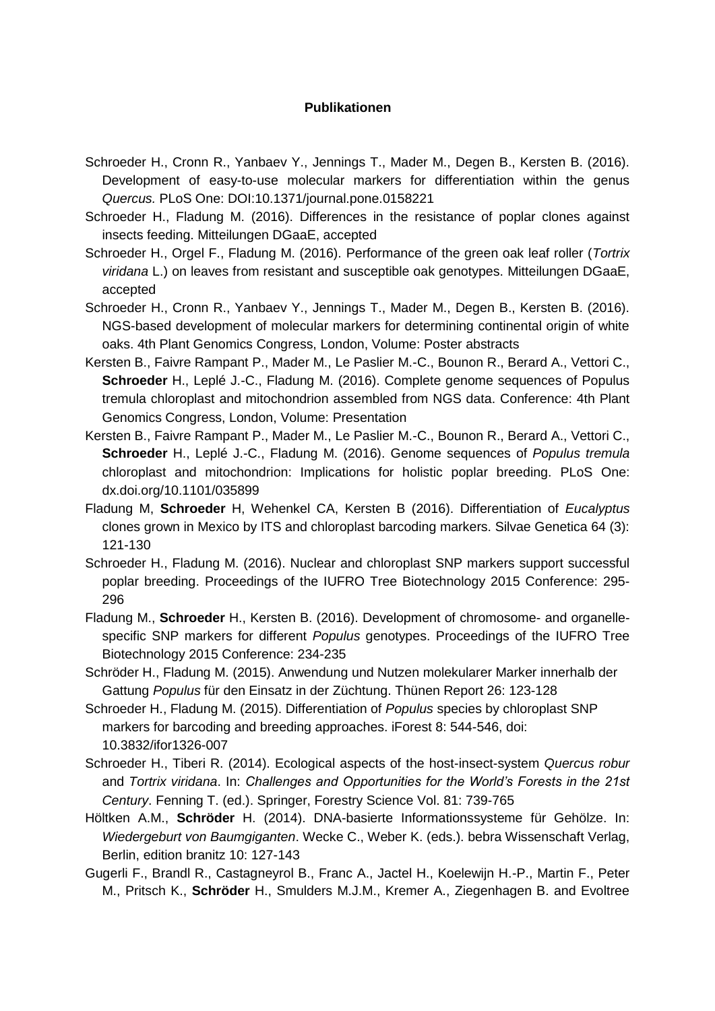## **Publikationen**

- Schroeder H., Cronn R., Yanbaev Y., Jennings T., Mader M., Degen B., Kersten B. (2016). Development of easy-to-use molecular markers for differentiation within the genus *Quercus.* PLoS One: DOI:10.1371/journal.pone.0158221
- Schroeder H., Fladung M. (2016). Differences in the resistance of poplar clones against insects feeding. Mitteilungen DGaaE, accepted
- Schroeder H., Orgel F., Fladung M. (2016). Performance of the green oak leaf roller (*Tortrix viridana* L.) on leaves from resistant and susceptible oak genotypes. Mitteilungen DGaaE, accepted
- Schroeder H., Cronn R., Yanbaev Y., Jennings T., Mader M., Degen B., Kersten B. (2016). NGS-based development of molecular markers for determining continental origin of white oaks. 4th Plant Genomics Congress, London, Volume: Poster abstracts
- Kersten B., Faivre Rampant P., Mader M., Le Paslier M.-C., Bounon R., Berard A., Vettori C., **Schroeder** H., Leplé J.-C., Fladung M. (2016). Complete genome sequences of Populus tremula chloroplast and mitochondrion assembled from NGS data. Conference: 4th Plant Genomics Congress, London, Volume: Presentation
- Kersten B., Faivre Rampant P., Mader M., Le Paslier M.-C., Bounon R., Berard A., Vettori C., **Schroeder** H., Leplé J.-C., Fladung M. (2016). Genome sequences of *Populus tremula* chloroplast and mitochondrion: Implications for holistic poplar breeding. PLoS One: [dx.doi.org/10.1101/035899](http://dx.doi.org/10.1101/035899)
- Fladung M, **Schroeder** H, Wehenkel CA, Kersten B (2016). Differentiation of *Eucalyptus* clones grown in Mexico by ITS and chloroplast barcoding markers. Silvae Genetica 64 (3): 121-130
- Schroeder H., Fladung M. (2016). Nuclear and chloroplast SNP markers support successful poplar breeding. Proceedings of the IUFRO Tree Biotechnology 2015 Conference: 295- 296
- Fladung M., **Schroeder** H., Kersten B. (2016). Development of chromosome- and organellespecific SNP markers for different *Populus* genotypes. Proceedings of the IUFRO Tree Biotechnology 2015 Conference: 234-235
- Schröder H., Fladung M. (2015). Anwendung und Nutzen molekularer Marker innerhalb der Gattung *Populus* für den Einsatz in der Züchtung. Thünen Report 26: 123-128
- Schroeder H., Fladung M. (2015). Differentiation of *Populus* species by chloroplast SNP markers for barcoding and breeding approaches. iForest 8: 544-546, doi: 10.3832/ifor1326-007
- Schroeder H., Tiberi R. (2014). Ecological aspects of the host-insect-system *Quercus robur* and *Tortrix viridana*. In: *Challenges and Opportunities for the World's Forests in the 21st Century*. Fenning T. (ed.). Springer, Forestry Science Vol. 81: 739-765
- Höltken A.M., **Schröder** H. (2014). DNA-basierte Informationssysteme für Gehölze. In: *Wiedergeburt von Baumgiganten*. Wecke C., Weber K. (eds.). bebra Wissenschaft Verlag, Berlin, edition branitz 10: 127-143
- Gugerli F., Brandl R., Castagneyrol B., Franc A., Jactel H., Koelewijn H.-P., Martin F., Peter M., Pritsch K., **Schröder** H., Smulders M.J.M., Kremer A., Ziegenhagen B. and Evoltree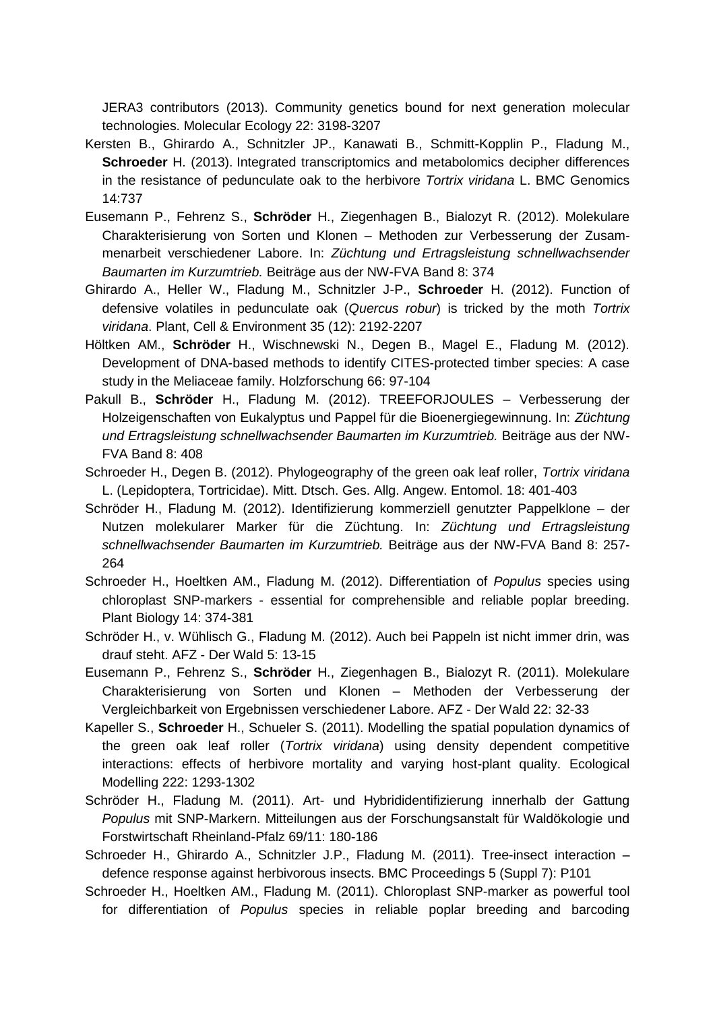JERA3 contributors (2013). Community genetics bound for next generation molecular technologies. Molecular Ecology 22: 3198-3207

- Kersten B., Ghirardo A., Schnitzler JP., Kanawati B., Schmitt-Kopplin P., Fladung M., **Schroeder** H. (2013). Integrated transcriptomics and metabolomics decipher differences in the resistance of pedunculate oak to the herbivore *Tortrix viridana* L. BMC Genomics 14:737
- Eusemann P., Fehrenz S., **Schröder** H., Ziegenhagen B., Bialozyt R. (2012). Molekulare Charakterisierung von Sorten und Klonen – Methoden zur Verbesserung der Zusammenarbeit verschiedener Labore. In: *Züchtung und Ertragsleistung schnellwachsender Baumarten im Kurzumtrieb.* Beiträge aus der NW-FVA Band 8: 374
- Ghirardo A., Heller W., Fladung M., Schnitzler J-P., **Schroeder** H. (2012). Function of defensive volatiles in pedunculate oak (*Quercus robur*) is tricked by the moth *Tortrix viridana*. Plant, Cell & Environment 35 (12): 2192-2207
- Höltken AM., **Schröder** H., Wischnewski N., Degen B., Magel E., Fladung M. (2012). Development of DNA-based methods to identify CITES-protected timber species: A case study in the Meliaceae family. Holzforschung 66: 97-104
- Pakull B., **Schröder** H., Fladung M. (2012). TREEFORJOULES Verbesserung der Holzeigenschaften von Eukalyptus und Pappel für die Bioenergiegewinnung. In: *Züchtung und Ertragsleistung schnellwachsender Baumarten im Kurzumtrieb.* Beiträge aus der NW-FVA Band 8: 408
- Schroeder H., Degen B. (2012). Phylogeography of the green oak leaf roller, *Tortrix viridana* L. (Lepidoptera, Tortricidae). Mitt. Dtsch. Ges. Allg. Angew. Entomol. 18: 401-403
- Schröder H., Fladung M. (2012). Identifizierung kommerziell genutzter Pappelklone der Nutzen molekularer Marker für die Züchtung. In: *Züchtung und Ertragsleistung schnellwachsender Baumarten im Kurzumtrieb.* Beiträge aus der NW-FVA Band 8: 257- 264
- Schroeder H., Hoeltken AM., Fladung M. (2012). Differentiation of *Populus* species using chloroplast SNP-markers - essential for comprehensible and reliable poplar breeding. Plant Biology 14: 374-381
- Schröder H., v. Wühlisch G., Fladung M. (2012). Auch bei Pappeln ist nicht immer drin, was drauf steht. AFZ - Der Wald 5: 13-15
- Eusemann P., Fehrenz S., **Schröder** H., Ziegenhagen B., Bialozyt R. (2011). Molekulare Charakterisierung von Sorten und Klonen – Methoden der Verbesserung der Vergleichbarkeit von Ergebnissen verschiedener Labore. AFZ - Der Wald 22: 32-33
- Kapeller S., **Schroeder** H., Schueler S. (2011). Modelling the spatial population dynamics of the green oak leaf roller (*Tortrix viridana*) using density dependent competitive interactions: effects of herbivore mortality and varying host-plant quality. Ecological Modelling 222: 1293-1302
- Schröder H., Fladung M. (2011). Art- und Hybrididentifizierung innerhalb der Gattung *Populus* mit SNP-Markern. Mitteilungen aus der Forschungsanstalt für Waldökologie und Forstwirtschaft Rheinland-Pfalz 69/11: 180-186
- Schroeder H., Ghirardo A., Schnitzler J.P., Fladung M. (2011). Tree-insect interaction defence response against herbivorous insects. BMC Proceedings 5 (Suppl 7): P101
- Schroeder H., Hoeltken AM., Fladung M. (2011). Chloroplast SNP-marker as powerful tool for differentiation of *Populus* species in reliable poplar breeding and barcoding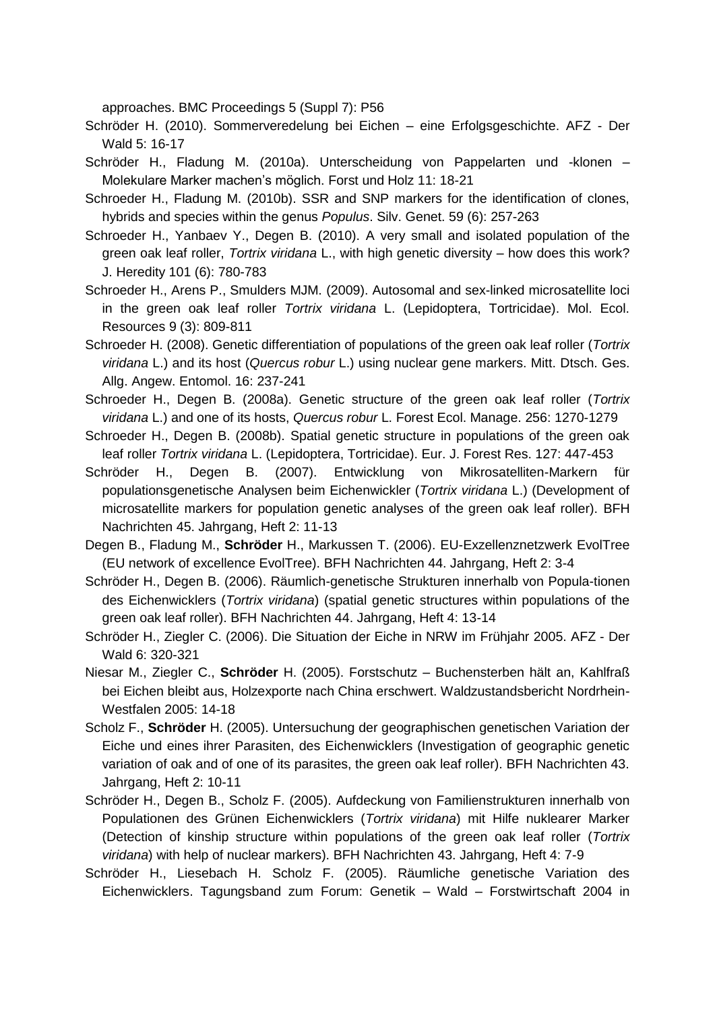approaches. BMC Proceedings 5 (Suppl 7): P56

Schröder H. (2010). Sommerveredelung bei Eichen – eine Erfolgsgeschichte. AFZ - Der Wald 5: 16-17

- Schröder H., Fladung M. (2010a). Unterscheidung von Pappelarten und -klonen Molekulare Marker machen's möglich. Forst und Holz 11: 18-21
- Schroeder H., Fladung M. (2010b). SSR and SNP markers for the identification of clones, hybrids and species within the genus *Populus*. Silv. Genet. 59 (6): 257-263
- Schroeder H., Yanbaev Y., Degen B. (2010). A very small and isolated population of the green oak leaf roller, *Tortrix viridana* L., with high genetic diversity – how does this work? J. Heredity 101 (6): 780-783
- Schroeder H., Arens P., Smulders MJM. (2009). Autosomal and sex-linked microsatellite loci in the green oak leaf roller *Tortrix viridana* L. (Lepidoptera, Tortricidae). Mol. Ecol. Resources 9 (3): 809-811
- Schroeder H. (2008). Genetic differentiation of populations of the green oak leaf roller (*Tortrix viridana* L.) and its host (*Quercus robur* L.) using nuclear gene markers. Mitt. Dtsch. Ges. Allg. Angew. Entomol. 16: 237-241
- Schroeder H., Degen B. (2008a). Genetic structure of the green oak leaf roller (*Tortrix viridana* L.) and one of its hosts, *Quercus robur* L. Forest Ecol. Manage. 256: 1270-1279
- Schroeder H., Degen B. (2008b). Spatial genetic structure in populations of the green oak leaf roller *Tortrix viridana* L. (Lepidoptera, Tortricidae). Eur. J. Forest Res. 127: 447-453
- Schröder H., Degen B. (2007). Entwicklung von Mikrosatelliten-Markern für populationsgenetische Analysen beim Eichenwickler (*Tortrix viridana* L.) (Development of microsatellite markers for population genetic analyses of the green oak leaf roller). BFH Nachrichten 45. Jahrgang, Heft 2: 11-13
- Degen B., Fladung M., **Schröder** H., Markussen T. (2006). EU-Exzellenznetzwerk EvolTree (EU network of excellence EvolTree). BFH Nachrichten 44. Jahrgang, Heft 2: 3-4
- Schröder H., Degen B. (2006). Räumlich-genetische Strukturen innerhalb von Popula-tionen des Eichenwicklers (*Tortrix viridana*) (spatial genetic structures within populations of the green oak leaf roller). BFH Nachrichten 44. Jahrgang, Heft 4: 13-14
- Schröder H., Ziegler C. (2006). Die Situation der Eiche in NRW im Frühjahr 2005. AFZ Der Wald 6: 320-321
- Niesar M., Ziegler C., **Schröder** H. (2005). Forstschutz Buchensterben hält an, Kahlfraß bei Eichen bleibt aus, Holzexporte nach China erschwert. Waldzustandsbericht Nordrhein-Westfalen 2005: 14-18
- Scholz F., **Schröder** H. (2005). Untersuchung der geographischen genetischen Variation der Eiche und eines ihrer Parasiten, des Eichenwicklers (Investigation of geographic genetic variation of oak and of one of its parasites, the green oak leaf roller). BFH Nachrichten 43. Jahrgang, Heft 2: 10-11
- Schröder H., Degen B., Scholz F. (2005). Aufdeckung von Familienstrukturen innerhalb von Populationen des Grünen Eichenwicklers (*Tortrix viridana*) mit Hilfe nuklearer Marker (Detection of kinship structure within populations of the green oak leaf roller (*Tortrix viridana*) with help of nuclear markers). BFH Nachrichten 43. Jahrgang, Heft 4: 7-9
- Schröder H., Liesebach H. Scholz F. (2005). Räumliche genetische Variation des Eichenwicklers. Tagungsband zum Forum: Genetik – Wald – Forstwirtschaft 2004 in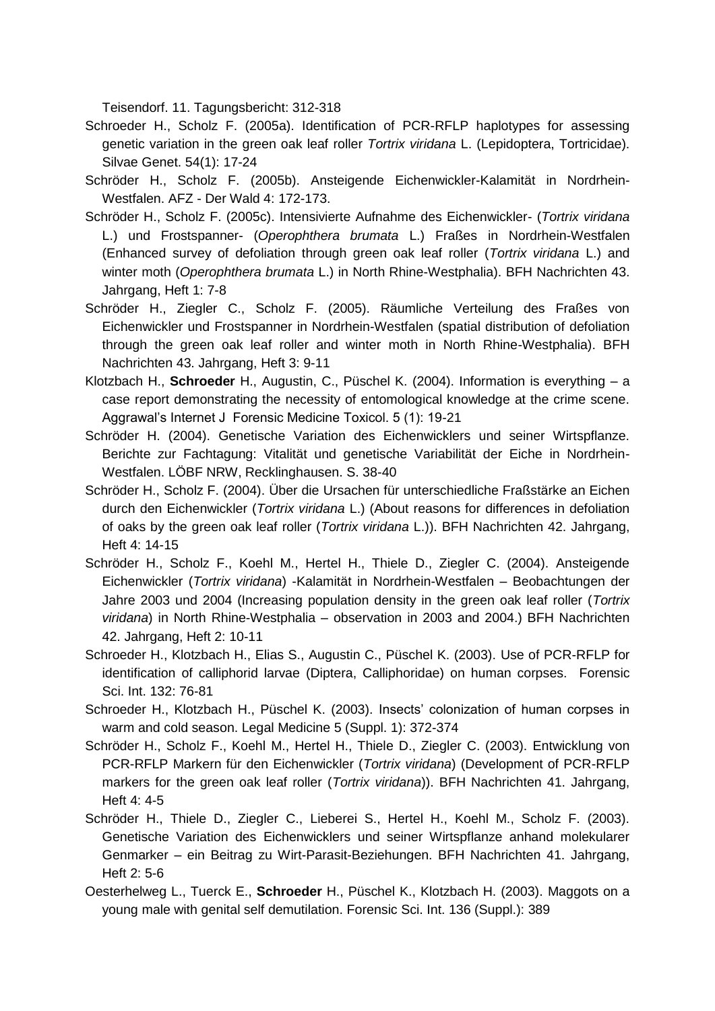Teisendorf. 11. Tagungsbericht: 312-318

- Schroeder H., Scholz F. (2005a). Identification of PCR-RFLP haplotypes for assessing genetic variation in the green oak leaf roller *Tortrix viridana* L. (Lepidoptera, Tortricidae). Silvae Genet. 54(1): 17-24
- Schröder H., Scholz F. (2005b). Ansteigende Eichenwickler-Kalamität in Nordrhein-Westfalen. AFZ - Der Wald 4: 172-173.
- Schröder H., Scholz F. (2005c). Intensivierte Aufnahme des Eichenwickler- (*Tortrix viridana* L.) und Frostspanner- (*Operophthera brumata* L.) Fraßes in Nordrhein-Westfalen (Enhanced survey of defoliation through green oak leaf roller (*Tortrix viridana* L.) and winter moth (*Operophthera brumata* L.) in North Rhine-Westphalia). BFH Nachrichten 43. Jahrgang, Heft 1: 7-8
- Schröder H., Ziegler C., Scholz F. (2005). Räumliche Verteilung des Fraßes von Eichenwickler und Frostspanner in Nordrhein-Westfalen (spatial distribution of defoliation through the green oak leaf roller and winter moth in North Rhine-Westphalia). BFH Nachrichten 43. Jahrgang, Heft 3: 9-11
- Klotzbach H., **Schroeder** H., Augustin, C., Püschel K. (2004). Information is everything a case report demonstrating the necessity of entomological knowledge at the crime scene. Aggrawal's Internet J Forensic Medicine Toxicol. 5 (1): 19-21
- Schröder H. (2004). Genetische Variation des Eichenwicklers und seiner Wirtspflanze. Berichte zur Fachtagung: Vitalität und genetische Variabilität der Eiche in Nordrhein-Westfalen. LÖBF NRW, Recklinghausen. S. 38-40
- Schröder H., Scholz F. (2004). Über die Ursachen für unterschiedliche Fraßstärke an Eichen durch den Eichenwickler (*Tortrix viridana* L.) (About reasons for differences in defoliation of oaks by the green oak leaf roller (*Tortrix viridana* L.)). BFH Nachrichten 42. Jahrgang, Heft 4: 14-15
- Schröder H., Scholz F., Koehl M., Hertel H., Thiele D., Ziegler C. (2004). Ansteigende Eichenwickler (*Tortrix viridana*) -Kalamität in Nordrhein-Westfalen – Beobachtungen der Jahre 2003 und 2004 (Increasing population density in the green oak leaf roller (*Tortrix viridana*) in North Rhine-Westphalia – observation in 2003 and 2004.) BFH Nachrichten 42. Jahrgang, Heft 2: 10-11
- Schroeder H., Klotzbach H., Elias S., Augustin C., Püschel K. (2003). Use of PCR-RFLP for identification of calliphorid larvae (Diptera, Calliphoridae) on human corpses. Forensic Sci. Int. 132: 76-81
- Schroeder H., Klotzbach H., Püschel K. (2003). Insects' colonization of human corpses in warm and cold season. Legal Medicine 5 (Suppl. 1): 372-374
- Schröder H., Scholz F., Koehl M., Hertel H., Thiele D., Ziegler C. (2003). Entwicklung von PCR-RFLP Markern für den Eichenwickler (*Tortrix viridana*) (Development of PCR-RFLP markers for the green oak leaf roller (*Tortrix viridana*)). BFH Nachrichten 41. Jahrgang, Heft 4: 4-5
- Schröder H., Thiele D., Ziegler C., Lieberei S., Hertel H., Koehl M., Scholz F. (2003). Genetische Variation des Eichenwicklers und seiner Wirtspflanze anhand molekularer Genmarker – ein Beitrag zu Wirt-Parasit-Beziehungen. BFH Nachrichten 41. Jahrgang, Heft 2: 5-6
- Oesterhelweg L., Tuerck E., **Schroeder** H., Püschel K., Klotzbach H. (2003). Maggots on a young male with genital self demutilation. Forensic Sci. Int. 136 (Suppl.): 389